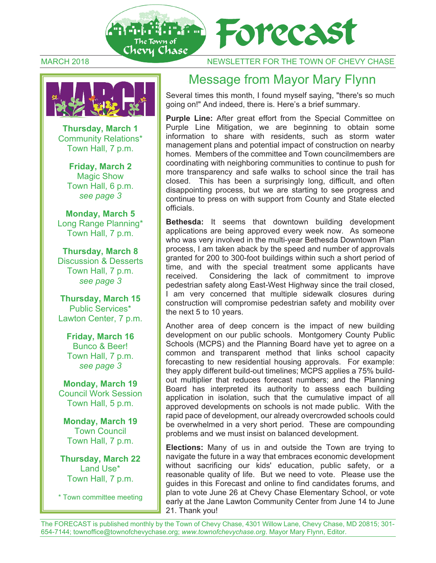



MARCH 2018 NEWSLETTER FOR THE TOWN OF CHEVY CHASE



Several times this month, I found myself saying, "there's so much going on!" And indeed, there is. Here's a brief summary.

**Purple Line:** After great effort from the Special Committee on Purple Line Mitigation, we are beginning to obtain some information to share with residents, such as storm water management plans and potential impact of construction on nearby homes. Members of the committee and Town councilmembers are coordinating with neighboring communities to continue to push for more transparency and safe walks to school since the trail has closed. This has been a surprisingly long, difficult, and often disappointing process, but we are starting to see progress and continue to press on with support from County and State elected officials.

**Bethesda:** It seems that downtown building development applications are being approved every week now. As someone who was very involved in the multi-year Bethesda Downtown Plan process, I am taken aback by the speed and number of approvals granted for 200 to 300-foot buildings within such a short period of time, and with the special treatment some applicants have received. Considering the lack of commitment to improve pedestrian safety along East-West Highway since the trail closed, I am very concerned that multiple sidewalk closures during construction will compromise pedestrian safety and mobility over the next 5 to 10 years.

Another area of deep concern is the impact of new building development on our public schools. Montgomery County Public Schools (MCPS) and the Planning Board have yet to agree on a common and transparent method that links school capacity forecasting to new residential housing approvals. For example: they apply different build-out timelines; MCPS applies a 75% buildout multiplier that reduces forecast numbers; and the Planning Board has interpreted its authority to assess each building application in isolation, such that the cumulative impact of all approved developments on schools is not made public. With the rapid pace of development, our already overcrowded schools could be overwhelmed in a very short period. These are compounding problems and we must insist on balanced development.

**Elections:** Many of us in and outside the Town are trying to navigate the future in a way that embraces economic development without sacrificing our kids' education, public safety, or a reasonable quality of life. But we need to vote. Please use the guides in this Forecast and online to find candidates forums, and plan to vote June 26 at Chevy Chase Elementary School, or vote early at the Jane Lawton Community Center from June 14 to June 21. Thank you!



**Thursday, March 1**  Community Relations\* Town Hall, 7 p.m.

> **Friday, March 2**  Magic Show Town Hall, 6 p.m. *see page 3*

**Monday, March 5**  Long Range Planning\* Town Hall, 7 p.m.

**Thursday, March 8**  Discussion & Desserts Town Hall, 7 p.m. *see page 3* 

**Thursday, March 15** Public Services\* Lawton Center, 7 p.m.

**Friday, March 16**  Bunco & Beer! Town Hall, 7 p.m. *see page 3* 

**Monday, March 19** Council Work Session Town Hall, 5 p.m.

**Monday, March 19** Town Council Town Hall, 7 p.m.

**Thursday, March 22**  Land Use\* Town Hall, 7 p.m.

\* Town committee meeting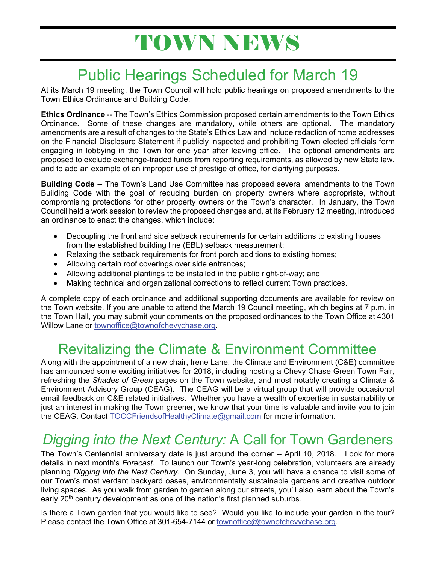# TOWN NEWS

## Public Hearings Scheduled for March 19

At its March 19 meeting, the Town Council will hold public hearings on proposed amendments to the Town Ethics Ordinance and Building Code.

**Ethics Ordinance** -- The Town's Ethics Commission proposed certain amendments to the Town Ethics Ordinance. Some of these changes are mandatory, while others are optional. The mandatory amendments are a result of changes to the State's Ethics Law and include redaction of home addresses on the Financial Disclosure Statement if publicly inspected and prohibiting Town elected officials form engaging in lobbying in the Town for one year after leaving office. The optional amendments are proposed to exclude exchange-traded funds from reporting requirements, as allowed by new State law, and to add an example of an improper use of prestige of office, for clarifying purposes.

**Building Code** -- The Town's Land Use Committee has proposed several amendments to the Town Building Code with the goal of reducing burden on property owners where appropriate, without compromising protections for other property owners or the Town's character. In January, the Town Council held a work session to review the proposed changes and, at its February 12 meeting, introduced an ordinance to enact the changes, which include:

- Decoupling the front and side setback requirements for certain additions to existing houses from the established building line (EBL) setback measurement;
- Relaxing the setback requirements for front porch additions to existing homes;
- Allowing certain roof coverings over side entrances;
- Allowing additional plantings to be installed in the public right-of-way; and
- Making technical and organizational corrections to reflect current Town practices.

A complete copy of each ordinance and additional supporting documents are available for review on the Town website. If you are unable to attend the March 19 Council meeting, which begins at 7 p.m. in the Town Hall, you may submit your comments on the proposed ordinances to the Town Office at 4301 Willow Lane or townoffice@townofchevychase.org.

## Revitalizing the Climate & Environment Committee

Along with the appointment of a new chair, Irene Lane, the Climate and Environment (C&E) committee has announced some exciting initiatives for 2018, including hosting a Chevy Chase Green Town Fair, refreshing the *Shades of Green* pages on the Town website, and most notably creating a Climate & Environment Advisory Group (CEAG). The CEAG will be a virtual group that will provide occasional email feedback on C&E related initiatives. Whether you have a wealth of expertise in sustainability or just an interest in making the Town greener, we know that your time is valuable and invite you to join the CEAG. Contact TOCCFriendsofHealthyClimate@gmail.com for more information.

## *Digging into the Next Century:* A Call for Town Gardeners

The Town's Centennial anniversary date is just around the corner -- April 10, 2018. Look for more details in next month's *Forecast*. To launch our Town's year-long celebration, volunteers are already planning *Digging into the Next Century.* On Sunday, June 3, you will have a chance to visit some of our Town's most verdant backyard oases, environmentally sustainable gardens and creative outdoor living spaces. As you walk from garden to garden along our streets, you'll also learn about the Town's early 20<sup>th</sup> century development as one of the nation's first planned suburbs.

Is there a Town garden that you would like to see? Would you like to include your garden in the tour? Please contact the Town Office at 301-654-7144 or townoffice@townofchevychase.org.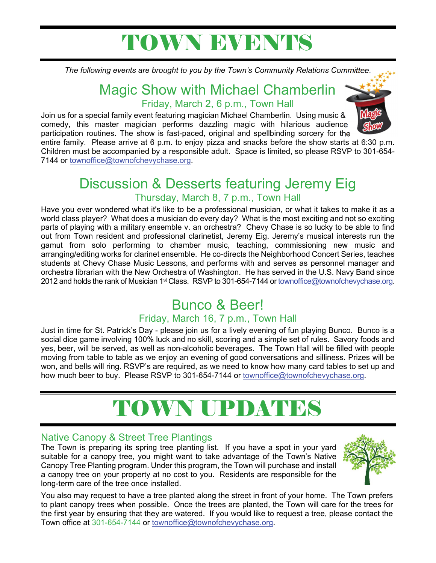# TOWN EVENTS

*The following events are brought to you by the Town's Community Relations Committee.*

## Magic Show with Michael Chamberlin Friday, March 2, 6 p.m., Town Hall

Join us for a special family event featuring magician Michael Chamberlin. Using music & comedy, this master magician performs dazzling magic with hilarious audience participation routines. The show is fast-paced, original and spellbinding sorcery for the



entire family. Please arrive at 6 p.m. to enjoy pizza and snacks before the show starts at 6:30 p.m. Children must be accompanied by a responsible adult. Space is limited, so please RSVP to 301-654- 7144 or townoffice@townofchevychase.org.

## Discussion & Desserts featuring Jeremy Eig Thursday, March 8, 7 p.m., Town Hall

Have you ever wondered what it's like to be a professional musician, or what it takes to make it as a world class player? What does a musician do every day? What is the most exciting and not so exciting parts of playing with a military ensemble v. an orchestra? Chevy Chase is so lucky to be able to find out from Town resident and professional clarinetist, Jeremy Eig. Jeremy's musical interests run the gamut from solo performing to chamber music, teaching, commissioning new music and arranging/editing works for clarinet ensemble. He co-directs the Neighborhood Concert Series, teaches students at Chevy Chase Music Lessons, and performs with and serves as personnel manager and orchestra librarian with the New Orchestra of Washington. He has served in the U.S. Navy Band since 2012 and holds the rank of Musician 1<sup>st</sup> Class. RSVP to 301-654-7144 or townoffice@townofchevychase.org.

# Bunco & Beer!

### Friday, March 16, 7 p.m., Town Hall

Just in time for St. Patrick's Day - please join us for a lively evening of fun playing Bunco. Bunco is a social dice game involving 100% luck and no skill, scoring and a simple set of rules. Savory foods and yes, beer, will be served, as well as non-alcoholic beverages. The Town Hall will be filled with people moving from table to table as we enjoy an evening of good conversations and silliness. Prizes will be won, and bells will ring. RSVP's are required, as we need to know how many card tables to set up and how much beer to buy. Please RSVP to 301-654-7144 or townoffice@townofchevychase.org.

# TOWN UPDATES

### Native Canopy & Street Tree Plantings

The Town is preparing its spring tree planting list. If you have a spot in your yard suitable for a canopy tree, you might want to take advantage of the Town's Native Canopy Tree Planting program. Under this program, the Town will purchase and install a canopy tree on your property at no cost to you. Residents are responsible for the long-term care of the tree once installed.



You also may request to have a tree planted along the street in front of your home. The Town prefers to plant canopy trees when possible. Once the trees are planted, the Town will care for the trees for the first year by ensuring that they are watered. If you would like to request a tree, please contact the Town office at 301-654-7144 or townoffice@townofchevychase.org.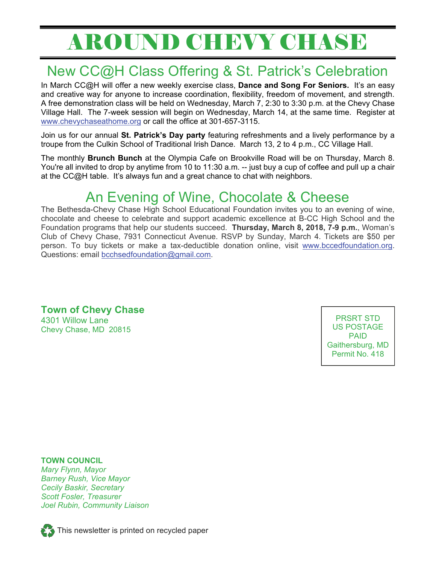# AROUND CHEVY CHASE

## New CC@H Class Offering & St. Patrick's Celebration

In March CC@H will offer a new weekly exercise class, **Dance and Song For Seniors.** It's an easy and creative way for anyone to increase coordination, flexibility, freedom of movement, and strength. A free demonstration class will be held on Wednesday, March 7, 2:30 to 3:30 p.m. at the Chevy Chase Village Hall. The 7-week session will begin on Wednesday, March 14, at the same time. Register at www.chevychaseathome.org or call the office at 301-657-3115.

Join us for our annual **St. Patrick's Day party** featuring refreshments and a lively performance by a troupe from the Culkin School of Traditional Irish Dance. March 13, 2 to 4 p.m., CC Village Hall.

The monthly **Brunch Bunch** at the Olympia Cafe on Brookville Road will be on Thursday, March 8. You're all invited to drop by anytime from 10 to 11:30 a.m. -- just buy a cup of coffee and pull up a chair at the CC@H table. It's always fun and a great chance to chat with neighbors.

## An Evening of Wine, Chocolate & Cheese

The Bethesda-Chevy Chase High School Educational Foundation invites you to an evening of wine, chocolate and cheese to celebrate and support academic excellence at B-CC High School and the Foundation programs that help our students succeed. **Thursday, March 8, 2018, 7-9 p.m.**, Woman's Club of Chevy Chase, 7931 Connecticut Avenue. RSVP by Sunday, March 4. Tickets are \$50 per person. To buy tickets or make a tax-deductible donation online, visit www.bccedfoundation.org. Questions: email bcchsedfoundation@gmail.com.

**Town of Chevy Chase**  4301 Willow Lane Chevy Chase, MD 20815

PRSRT STD US POSTAGE PAID Gaithersburg, MD Permit No. 418

**TOWN COUNCIL**  *Mary Flynn, Mayor Barney Rush, Vice Mayor Cecily Baskir, Secretary Scott Fosler, Treasurer Joel Rubin, Community Liaison* 



This newsletter is printed on recycled paper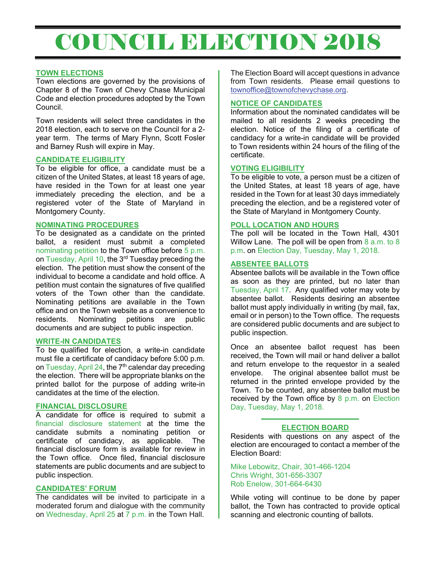# COUNCIL BLECTION 2018

#### **TOWN ELECTIONS**

Town elections are governed by the provisions of Chapter 8 of the Town of Chevy Chase Municipal Code and election procedures adopted by the Town Council.

Town residents will select three candidates in the 2018 election, each to serve on the Council for a 2 year term. The terms of Mary Flynn, Scott Fosler and Barney Rush will expire in May.

#### **CANDIDATE ELIGIBILITY**

To be eligible for office, a candidate must be a citizen of the United States, at least 18 years of age, have resided in the Town for at least one year immediately preceding the election, and be a registered voter of the State of Maryland in Montgomery County.

#### **NOMINATING PROCEDURES**

To be designated as a candidate on the printed ballot, a resident must submit a completed nominating petition to the Town office before 5 p.m. on Tuesday, April 10, the 3rd Tuesday preceding the election. The petition must show the consent of the individual to become a candidate and hold office. A petition must contain the signatures of five qualified voters of the Town other than the candidate. Nominating petitions are available in the Town office and on the Town website as a convenience to residents. Nominating petitions are public documents and are subject to public inspection.

#### **WRITE-IN CANDIDATES**

To be qualified for election, a write-in candidate must file a certificate of candidacy before 5:00 p.m. on Tuesday, April 24, the  $7<sup>th</sup>$  calendar day preceding the election.There will be appropriate blanks on the printed ballot for the purpose of adding write-in candidates at the time of the election.

#### **FINANCIAL DISCLOSURE**

A candidate for office is required to submit a financial disclosure statement at the time the candidate submits a nominating petition or certificate of candidacy, as applicable. The financial disclosure form is available for review in the Town office. Once filed, financial disclosure statements are public documents and are subject to public inspection.

#### **CANDIDATES' FORUM**

The candidates will be invited to participate in a moderated forum and dialogue with the community on Wednesday, April 25 at  $\overline{7}$  p.m. in the Town Hall.

The Election Board will accept questions in advance from Town residents. Please email questions to townoffice@townofchevychase.org.

#### **NOTICE OF CANDIDATES**

Information about the nominated candidates will be mailed to all residents 2 weeks preceding the election. Notice of the filing of a certificate of candidacy for a write-in candidate will be provided to Town residents within 24 hours of the filing of the certificate.

#### **VOTING ELIGIBILITY**

To be eligible to vote, a person must be a citizen of the United States, at least 18 years of age, have resided in the Town for at least 30 days immediately preceding the election, and be a registered voter of the State of Maryland in Montgomery County.

#### **POLL LOCATION AND HOURS**

The poll will be located in the Town Hall, 4301 Willow Lane. The poll will be open from 8 a.m. to 8 p.m. on Election Day, Tuesday, May 1, 2018.

#### **ABSENTEE BALLOTS**

Absentee ballots will be available in the Town office as soon as they are printed, but no later than Tuesday, April 17. Any qualified voter may vote by absentee ballot. Residents desiring an absentee ballot must apply individually in writing (by mail, fax, email or in person) to the Town office. The requests are considered public documents and are subject to public inspection.

Once an absentee ballot request has been received, the Town will mail or hand deliver a ballot and return envelope to the requestor in a sealed envelope. The original absentee ballot must be returned in the printed envelope provided by the Town. To be counted, any absentee ballot must be received by the Town office by  $8$  p.m. on Election Day, Tuesday, May 1, 2018.

#### **ELECTION BOARD**

Residents with questions on any aspect of the election are encouraged to contact a member of the Election Board:

Mike Lebowitz, Chair, 301-466-1204 Chris Wright, 301-656-3307 Rob Enelow, 301-664-6430

While voting will continue to be done by paper ballot, the Town has contracted to provide optical scanning and electronic counting of ballots.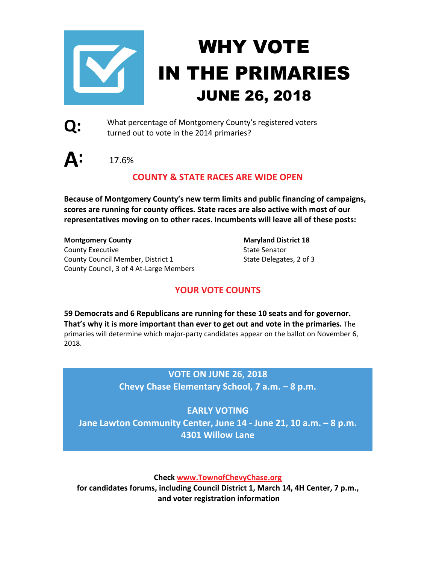

# WHY VOTE IN THE PRIMARIES JUNE 26, 2018



What percentage of Montgomery County's registered voters turned out to vote in the 2014 primaries?

**A:** 17.6%

### **COUNTY & STATE RACES ARE WIDE OPEN**

**Because of Montgomery County's new term limits and public financing of campaigns, scores are running for county offices. State races are also active with most of our representatives moving on to other races. Incumbents will leave all of these posts:** 

**Montgomery County** Maryland District 18 County Executive County Executive State Senator County Council Member, District 1 State Delegates, 2 of 3 County Council, 3 of 4 At-Large Members

### **YOUR VOTE COUNTS**

**59 Democrats and 6 Republicans are running for these 10 seats and for governor. That's why it is more important than ever to get out and vote in the primaries.** The primaries will determine which major-party candidates appear on the ballot on November 6, 2018.

### **VOTE ON JUNE 26, 2018**

**Chevy Chase Elementary School, 7 a.m. – 8 p.m.** 

**EARLY VOTING Jane Lawton Community Center, June 14 - June 21, 10 a.m. – 8 p.m. 4301 Willow Lane**

**Check www.TownofChevyChase.org** 

**for candidates forums, including Council District 1, March 14, 4H Center, 7 p.m., and voter registration information**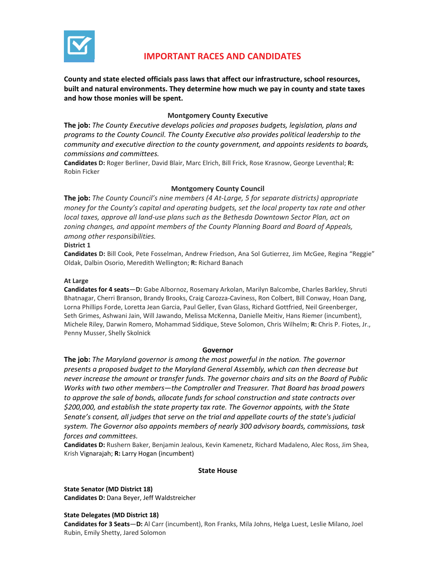

### **IMPORTANT RACES AND CANDIDATES**

**County and state elected officials pass laws that affect our infrastructure, school resources, built and natural environments. They determine how much we pay in county and state taxes and how those monies will be spent.** 

#### **Montgomery County Executive**

**The job:** *The County Executive develops policies and proposes budgets, legislation, plans and programs to the County Council. The County Executive also provides political leadership to the community and executive direction to the county government, and appoints residents to boards, commissions and committees.* 

**Candidates D:** Roger Berliner, David Blair, Marc Elrich, Bill Frick, Rose Krasnow, George Leventhal; **R:** Robin Ficker

#### **Montgomery County Council**

**The job:** *The County Council's nine members (4 At-Large, 5 for separate districts) appropriate money for the County's capital and operating budgets, set the local property tax rate and other local taxes, approve all land-use plans such as the Bethesda Downtown Sector Plan, act on zoning changes, and appoint members of the County Planning Board and Board of Appeals, among other responsibilities.* 

#### **District 1**

**Candidates D:** Bill Cook, Pete Fosselman, Andrew Friedson, Ana Sol Gutierrez, Jim McGee, Regina "Reggie" Oldak, Dalbin Osorio, Meredith Wellington; **R:** Richard Banach

#### **At Large**

**Candidates for 4 seats**—**D:** Gabe Albornoz, Rosemary Arkolan, Marilyn Balcombe, Charles Barkley, Shruti Bhatnagar, Cherri Branson, Brandy Brooks, Craig Carozza-Caviness, Ron Colbert, Bill Conway, Hoan Dang, Lorna Phillips Forde, Loretta Jean Garcia, Paul Geller, Evan Glass, Richard Gottfried, Neil Greenberger, Seth Grimes, Ashwani Jain, Will Jawando, Melissa McKenna, Danielle Meitiv, Hans Riemer (incumbent), Michele Riley, Darwin Romero, Mohammad Siddique, Steve Solomon, Chris Wilhelm; **R:** Chris P. Fiotes, Jr., Penny Musser, Shelly Skolnick

#### **Governor**

**The job:** *The Maryland governor is among the most powerful in the nation. The governor presents a proposed budget to the Maryland General Assembly, which can then decrease but never increase the amount or transfer funds. The governor chairs and sits on the Board of Public Works with two other members—the Comptroller and Treasurer. That Board has broad powers to approve the sale of bonds, allocate funds for school construction and state contracts over \$200,000, and establish the state property tax rate. The Governor appoints, with the State Senate's consent, all judges that serve on the trial and appellate courts of the state's judicial system. The Governor also appoints members of nearly 300 advisory boards, commissions, task forces and committees.* 

**Candidates D:** Rushern Baker, Benjamin Jealous, Kevin Kamenetz, Richard Madaleno, Alec Ross, Jim Shea, Krish Vignarajah; **R:** Larry Hogan (incumbent)

#### **State House**

**State Senator (MD District 18) Candidates D:** Dana Beyer, Jeff Waldstreicher

#### **State Delegates (MD District 18)**

**Candidates for 3 Seats**—**D:** Al Carr (incumbent), Ron Franks, Mila Johns, Helga Luest, Leslie Milano, Joel Rubin, Emily Shetty, Jared Solomon